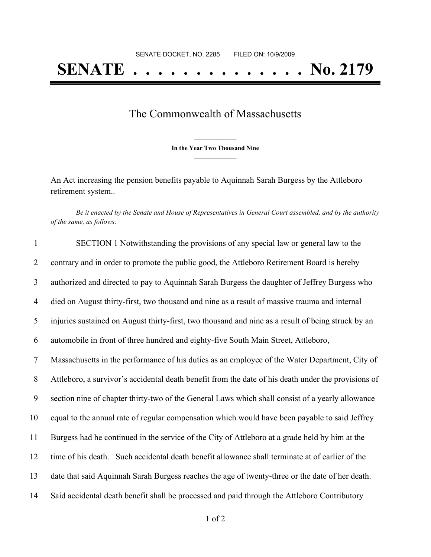## The Commonwealth of Massachusetts

**\_\_\_\_\_\_\_\_\_\_\_\_\_\_\_ In the Year Two Thousand Nine \_\_\_\_\_\_\_\_\_\_\_\_\_\_\_**

An Act increasing the pension benefits payable to Aquinnah Sarah Burgess by the Attleboro retirement system..

Be it enacted by the Senate and House of Representatives in General Court assembled, and by the authority *of the same, as follows:*

| $\mathbf{1}$   | SECTION 1 Notwithstanding the provisions of any special law or general law to the                   |
|----------------|-----------------------------------------------------------------------------------------------------|
| $\overline{2}$ | contrary and in order to promote the public good, the Attleboro Retirement Board is hereby          |
| $\mathfrak{Z}$ | authorized and directed to pay to Aquinnah Sarah Burgess the daughter of Jeffrey Burgess who        |
| 4              | died on August thirty-first, two thousand and nine as a result of massive trauma and internal       |
| 5              | injuries sustained on August thirty-first, two thousand and nine as a result of being struck by an  |
| 6              | automobile in front of three hundred and eighty-five South Main Street, Attleboro,                  |
| $\overline{7}$ | Massachusetts in the performance of his duties as an employee of the Water Department, City of      |
| 8              | Attleboro, a survivor's accidental death benefit from the date of his death under the provisions of |
| 9              | section nine of chapter thirty-two of the General Laws which shall consist of a yearly allowance    |
| 10             | equal to the annual rate of regular compensation which would have been payable to said Jeffrey      |
| 11             | Burgess had he continued in the service of the City of Attleboro at a grade held by him at the      |
| 12             | time of his death. Such accidental death benefit allowance shall terminate at of earlier of the     |
| 13             | date that said Aquinnah Sarah Burgess reaches the age of twenty-three or the date of her death.     |
| 14             | Said accidental death benefit shall be processed and paid through the Attleboro Contributory        |